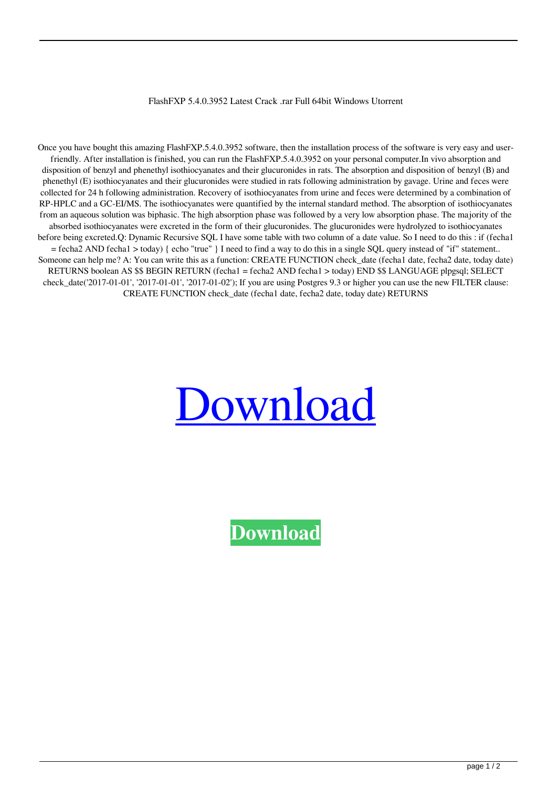FlashFXP 5.4.0.3952 Latest Crack .rar Full 64bit Windows Utorrent

Once you have bought this amazing FlashFXP.5.4.0.3952 software, then the installation process of the software is very easy and userfriendly. After installation is finished, you can run the FlashFXP.5.4.0.3952 on your personal computer.In vivo absorption and disposition of benzyl and phenethyl isothiocyanates and their glucuronides in rats. The absorption and disposition of benzyl (B) and phenethyl (E) isothiocyanates and their glucuronides were studied in rats following administration by gavage. Urine and feces were collected for 24 h following administration. Recovery of isothiocyanates from urine and feces were determined by a combination of RP-HPLC and a GC-EI/MS. The isothiocyanates were quantified by the internal standard method. The absorption of isothiocyanates from an aqueous solution was biphasic. The high absorption phase was followed by a very low absorption phase. The majority of the absorbed isothiocyanates were excreted in the form of their glucuronides. The glucuronides were hydrolyzed to isothiocyanates before being excreted.Q: Dynamic Recursive SQL I have some table with two column of a date value. So I need to do this : if (fecha1 = fecha2 AND fecha1 > today) { echo "true" } I need to find a way to do this in a single SQL query instead of "if" statement.. Someone can help me? A: You can write this as a function: CREATE FUNCTION check\_date (fecha1 date, fecha2 date, today date) RETURNS boolean AS \$\$ BEGIN RETURN (fecha1 = fecha2 AND fecha1 > today) END \$\$ LANGUAGE plpgsql; SELECT check\_date('2017-01-01', '2017-01-01', '2017-01-02'); If you are using Postgres 9.3 or higher you can use the new FILTER clause: CREATE FUNCTION check\_date (fecha1 date, fecha2 date, today date) RETURNS



**[Download](http://evacdir.com/Rmxhc2hGWFAuNS40LjAuMzk1MiBmdWxsIHZlcnNpb24Rmx/allow?ZG93bmxvYWR8bVY2TW1jNE5ueDhNVFkxTWpjME1EZzJObng4TWpVM05IeDhLRTBwSUhKbFlXUXRZbXh2WnlCYlJtRnpkQ0JIUlU1ZA=chamoun&disputation=infil&rupees=hitches.locating)**